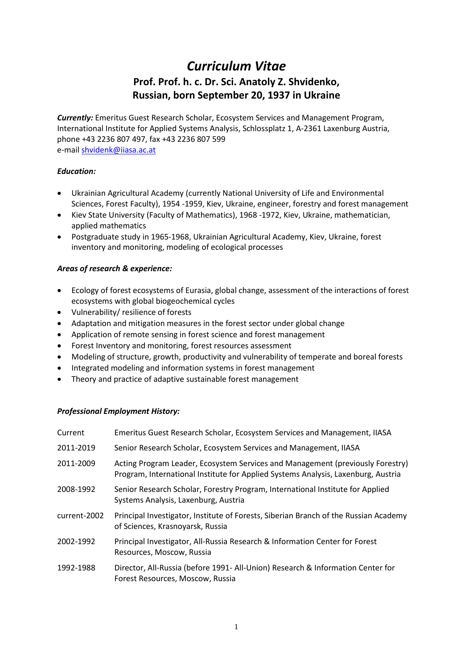# *Curriculum Vitae* **Prof. Prof. h. c. Dr. Sci. Anatoly Z. Shvidenko, Russian, born September 20, 1937 in Ukraine**

*Currently:* Emeritus Guest Research Scholar, Ecosystem Services and Management Program, International Institute for Applied Systems Analysis, Schlossplatz 1, A-2361 Laxenburg Austria, phone +43 2236 807 497, fax +43 2236 807 599 e-mai[l shvidenk@iiasa.ac.at](mailto:shvidenk@iiasa.ac.at)

## *Education:*

- Ukrainian Agricultural Academy (currently National University of Life and Environmental Sciences, Forest Faculty), 1954 -1959, Kiev, Ukraine, engineer, forestry and forest management
- Kiev State University (Faculty of Mathematics), 1968 -1972, Kiev, Ukraine, mathematician, applied mathematics
- Postgraduate study in 1965-1968, Ukrainian Agricultural Academy, Kiev, Ukraine, forest inventory and monitoring, modeling of ecological processes

## *Areas of research & experience:*

- Ecology of forest ecosystems of Eurasia, global change, assessment of the interactions of forest ecosystems with global biogeochemical cycles
- Vulnerability/ resilience of forests
- Adaptation and mitigation measures in the forest sector under global change
- Application of remote sensing in forest science and forest management
- Forest Inventory and monitoring, forest resources assessment
- Modeling of structure, growth, productivity and vulnerability of temperate and boreal forests
- Integrated modeling and information systems in forest management
- Theory and practice of adaptive sustainable forest management

#### *Professional Employment History:*

| Current      | Emeritus Guest Research Scholar, Ecosystem Services and Management, IIASA                                                                                           |
|--------------|---------------------------------------------------------------------------------------------------------------------------------------------------------------------|
| 2011-2019    | Senior Research Scholar, Ecosystem Services and Management, IIASA                                                                                                   |
| 2011-2009    | Acting Program Leader, Ecosystem Services and Management (previously Forestry)<br>Program, International Institute for Applied Systems Analysis, Laxenburg, Austria |
| 2008-1992    | Senior Research Scholar, Forestry Program, International Institute for Applied<br>Systems Analysis, Laxenburg, Austria                                              |
| current-2002 | Principal Investigator, Institute of Forests, Siberian Branch of the Russian Academy<br>of Sciences, Krasnoyarsk, Russia                                            |
| 2002-1992    | Principal Investigator, All-Russia Research & Information Center for Forest<br>Resources, Moscow, Russia                                                            |
| 1992-1988    | Director, All-Russia (before 1991- All-Union) Research & Information Center for<br>Forest Resources, Moscow, Russia                                                 |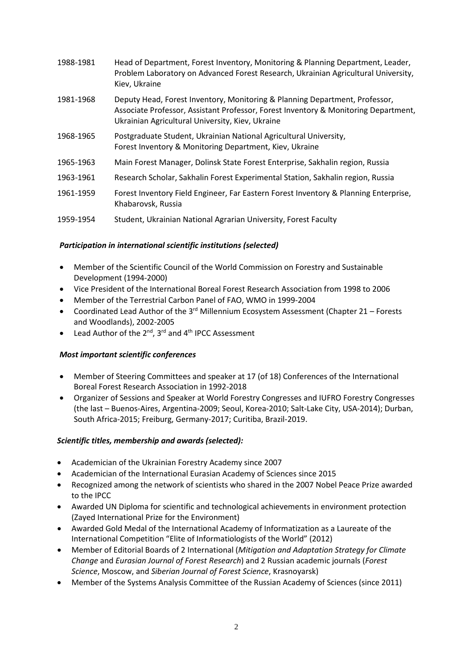| 1988-1981 | Head of Department, Forest Inventory, Monitoring & Planning Department, Leader,<br>Problem Laboratory on Advanced Forest Research, Ukrainian Agricultural University,<br>Kiev, Ukraine                                 |
|-----------|------------------------------------------------------------------------------------------------------------------------------------------------------------------------------------------------------------------------|
| 1981-1968 | Deputy Head, Forest Inventory, Monitoring & Planning Department, Professor,<br>Associate Professor, Assistant Professor, Forest Inventory & Monitoring Department,<br>Ukrainian Agricultural University, Kiev, Ukraine |
| 1968-1965 | Postgraduate Student, Ukrainian National Agricultural University,<br>Forest Inventory & Monitoring Department, Kiev, Ukraine                                                                                           |
| 1965-1963 | Main Forest Manager, Dolinsk State Forest Enterprise, Sakhalin region, Russia                                                                                                                                          |
| 1963-1961 | Research Scholar, Sakhalin Forest Experimental Station, Sakhalin region, Russia                                                                                                                                        |
| 1961-1959 | Forest Inventory Field Engineer, Far Eastern Forest Inventory & Planning Enterprise,<br>Khabarovsk, Russia                                                                                                             |
| 1959-1954 | Student, Ukrainian National Agrarian University, Forest Faculty                                                                                                                                                        |

## *Participation in international scientific institutions (selected)*

- Member of the Scientific Council of the World Commission on Forestry and Sustainable Development (1994-2000)
- Vice President of the International Boreal Forest Research Association from 1998 to 2006
- Member of the Terrestrial Carbon Panel of FAO, WMO in 1999-2004
- Coordinated Lead Author of the  $3^{rd}$  Millennium Ecosystem Assessment (Chapter 21 Forests and Woodlands), 2002-2005
- Lead Author of the  $2^{nd}$ ,  $3^{rd}$  and  $4^{th}$  IPCC Assessment

#### *Most important scientific conferences*

- Member of Steering Committees and speaker at 17 (of 18) Conferences of the International Boreal Forest Research Association in 1992-2018
- Organizer of Sessions and Speaker at World Forestry Congresses and IUFRO Forestry Congresses (the last – Buenos-Aires, Argentina-2009; Seoul, Korea-2010; Salt-Lake City, USA-2014); Durban, South Africa-2015; Freiburg, Germany-2017; Curitiba, Brazil-2019.

#### *Scientific titles, membership and awards (selected):*

- Academician of the Ukrainian Forestry Academy since 2007
- Academician of the International Eurasian Academy of Sciences since 2015
- Recognized among the network of scientists who shared in the 2007 Nobel Peace Prize awarded to the IPCC
- Awarded UN Diploma for scientific and technological achievements in environment protection (Zayed International Prize for the Environment)
- Awarded Gold Medal of the International Academy of Informatization as a Laureate of the International Competition "Elite of Informatiologists of the World" (2012)
- Member of Editorial Boards of 2 International (*Mitigation and Adaptation Strategy for Climate Change* and *Eurasian Journal of Forest Research*) and 2 Russian academic journals (*Forest Science*, Moscow, and *Siberian Journal of Forest Science*, Krasnoyarsk)
- Member of the Systems Analysis Committee of the Russian Academy of Sciences (since 2011)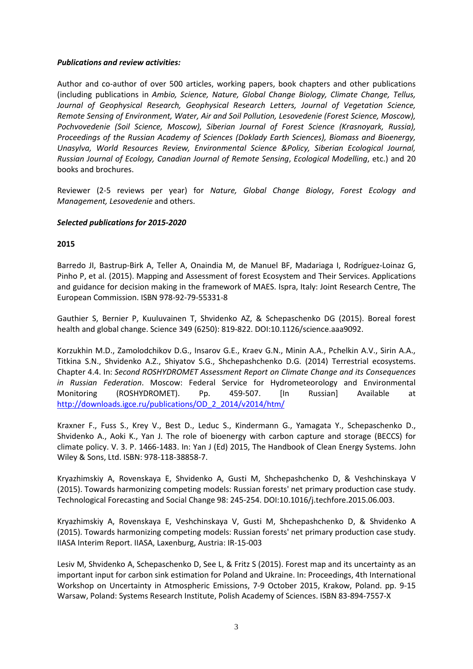#### *Publications and review activities:*

Author and co-author of over 500 articles, working papers, book chapters and other publications (including publications in *Ambio, Science, Nature, Global Change Biology, Climate Change, Tellus, Journal of Geophysical Research, Geophysical Research Letters, Journal of Vegetation Science, Remote Sensing of Environment, Water, Air and Soil Pollution, Lesovedenie (Forest Science, Moscow), Pochvovedenie (Soil Science, Moscow), Siberian Journal of Forest Science (Krasnoyark, Russia), Proceedings of the Russian Academy of Sciences (Doklady Earth Sciences), Biomass and Bioenergy, Unasylva, World Resources Review, Environmental Science &Policy, Siberian Ecological Journal, Russian Journal of Ecology, Canadian Journal of Remote Sensing*, *Ecological Modelling*, etc.) and 20 books and brochures.

Reviewer (2-5 reviews per year) for *Nature, Global Change Biology*, *Forest Ecology and Management, Lesovedenie* and others.

## *Selected publications for 2015-2020*

## **2015**

Barredo JI, Bastrup-Birk A, Teller A, Onaindia M, de Manuel BF, Madariaga I, Rodríguez-Loinaz G, Pinho P, et al. (2015). Mapping and Assessment of forest Ecosystem and Their Services. Applications and guidance for decision making in the framework of MAES. Ispra, Italy: Joint Research Centre, The European Commission. ISBN 978-92-79-55331-8

Gauthier S, Bernier P, Kuuluvainen T, Shvidenko AZ, & Schepaschenko DG (2015). Boreal forest health and global change. Science 349 (6250): 819-822. DOI:10.1126/science.aaa9092.

Korzukhin M.D., Zamolodchikov D.G., Insarov G.E., Kraev G.N., Minin A.A., Pchelkin A.V., Sirin A.A., Titkina S.N., Shvidenko A.Z., Shiyatov S.G., Shchepashchenko D.G. (2014) Terrestrial ecosystems. Chapter 4.4. In: *Second ROSHYDROMET Assessment Report on Climate Change and its Consequences in Russian Federation*. Moscow: Federal Service for Hydrometeorology and Environmental Monitoring (ROSHYDROMET). Pp. 459-507. [In Russian] Available at [http://downloads.igce.ru/publications/OD\\_2\\_2014/v2014/htm/](http://downloads.igce.ru/publications/OD_2_2014/v2014/htm/)

Kraxner F., Fuss S., Krey V., Best D., Leduc S., Kindermann G., Yamagata Y., Schepaschenko D., Shvidenko A., Aoki K., Yan J. The role of bioenergy with carbon capture and storage (BECCS) for climate policy. V. 3. P. 1466-1483. In: Yan J (Ed) 2015, The Handbook of Clean Energy Systems. John Wiley & Sons, Ltd. ISBN: 978-118-38858-7.

Kryazhimskiy A, Rovenskaya E, Shvidenko A, Gusti M, Shchepashchenko D, & Veshchinskaya V (2015). Towards harmonizing competing models: Russian forests' net primary production case study. Technological Forecasting and Social Change 98: 245-254. DOI:10.1016/j.techfore.2015.06.003.

Kryazhimskiy A, Rovenskaya E, Veshchinskaya V, Gusti M, Shchepashchenko D, & Shvidenko A (2015). Towards harmonizing competing models: Russian forests' net primary production case study. IIASA Interim Report. IIASA, Laxenburg, Austria: IR-15-003

Lesiv M, Shvidenko A, Schepaschenko D, See L, & Fritz S (2015). Forest map and its uncertainty as an important input for carbon sink estimation for Poland and Ukraine. In: Proceedings, 4th International Workshop on Uncertainty in Atmospheric Emissions, 7-9 October 2015, Krakow, Poland. pp. 9-15 Warsaw, Poland: Systems Research Institute, Polish Academy of Sciences. ISBN 83-894-7557-X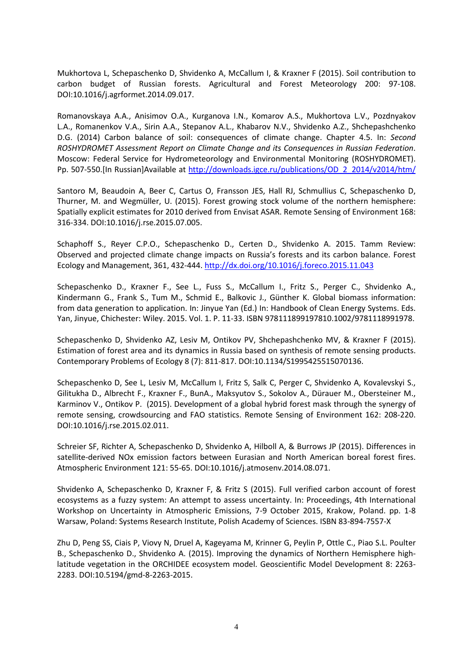Mukhortova L, Schepaschenko D, Shvidenko A, McCallum I, & Kraxner F (2015). Soil contribution to carbon budget of Russian forests. Agricultural and Forest Meteorology 200: 97-108. DOI:10.1016/j.agrformet.2014.09.017.

Romanovskaya A.A., Anisimov O.A., Kurganova I.N., Komarov A.S., Mukhortova L.V., Pozdnyakov L.A., Romanenkov V.A., Sirin A.A., Stepanov A.L., Khabarov N.V., Shvidenko A.Z., Shchepashchenko D.G. (2014) Carbon balance of soil: consequences of climate change. Chapter 4.5. In: *Second ROSHYDROMET Assessment Report on Climate Change and its Consequences in Russian Federation*. Moscow: Federal Service for Hydrometeorology and Environmental Monitoring (ROSHYDROMET). Pp. 507-550.[In Russian]Available at [http://downloads.igce.ru/publications/OD\\_2\\_2014/v2014/htm/](http://downloads.igce.ru/publications/OD_2_2014/v2014/htm/)

Santoro M, Beaudoin A, Beer C, Cartus O, Fransson JES, Hall RJ, Schmullius C, Schepaschenko D, Thurner, M. and Wegmüller, U. (2015). Forest growing stock volume of the northern hemisphere: Spatially explicit estimates for 2010 derived from Envisat ASAR. Remote Sensing of Environment 168: 316-334. DOI:10.1016/j.rse.2015.07.005.

Schaphoff S., Reyer C.P.O., Schepaschenko D., Certen D., Shvidenko A. 2015. Tamm Review: Observed and projected climate change impacts on Russia's forests and its carbon balance. Forest Ecology and Management, 361, 432-444[. http://dx.doi.org/10.1016/j.foreco.2015.11.043](http://dx.doi.org/10.1016/j.foreco.2015.11.043)

Schepaschenko D., Kraxner F., See L., Fuss S., McCallum I., Fritz S., Perger C., Shvidenko A., Kindermann G., Frank S., Tum M., Schmid E., Balkovic J., Günther K. Global biomass information: from data generation to application. In: Jinyue Yan (Ed.) In: Handbook of Clean Energy Systems. Eds. Yan, Jinyue, Chichester: Wiley. 2015. Vol. 1. P. 11-33. ISBN 978111899197810.1002/9781118991978.

Schepaschenko D, Shvidenko AZ, Lesiv M, Ontikov PV, Shchepashchenko MV, & Kraxner F (2015). Estimation of forest area and its dynamics in Russia based on synthesis of remote sensing products. Contemporary Problems of Ecology 8 (7): 811-817. DOI:10.1134/S1995425515070136.

Schepaschenko D, See L, Lesiv M, McCallum I, Fritz S, Salk C, Perger C, Shvidenko A, Kovalevskyi S., Gilitukha D., Albrecht F., Kraxner F., BunA., Maksyutov S., Sokolov A., Dürauer M., Obersteiner M., Karminov V., Ontikov P. (2015). Development of a global hybrid forest mask through the synergy of remote sensing, crowdsourcing and FAO statistics. Remote Sensing of Environment 162: 208-220. DOI:10.1016/j.rse.2015.02.011.

Schreier SF, Richter A, Schepaschenko D, Shvidenko A, Hilboll A, & Burrows JP (2015). Differences in satellite-derived NOx emission factors between Eurasian and North American boreal forest fires. Atmospheric Environment 121: 55-65. DOI:10.1016/j.atmosenv.2014.08.071.

Shvidenko A, Schepaschenko D, Kraxner F, & Fritz S (2015). Full verified carbon account of forest ecosystems as a fuzzy system: An attempt to assess uncertainty. In: Proceedings, 4th International Workshop on Uncertainty in Atmospheric Emissions, 7-9 October 2015, Krakow, Poland. pp. 1-8 Warsaw, Poland: Systems Research Institute, Polish Academy of Sciences. ISBN 83-894-7557-X

Zhu D, Peng SS, Ciais P, Viovy N, Druel A, Kageyama M, Krinner G, Peylin P, Ottle C., Piao S.L. Poulter B., Schepaschenko D., Shvidenko A. (2015). Improving the dynamics of Northern Hemisphere highlatitude vegetation in the ORCHIDEE ecosystem model. Geoscientific Model Development 8: 2263- 2283. DOI:10.5194/gmd-8-2263-2015.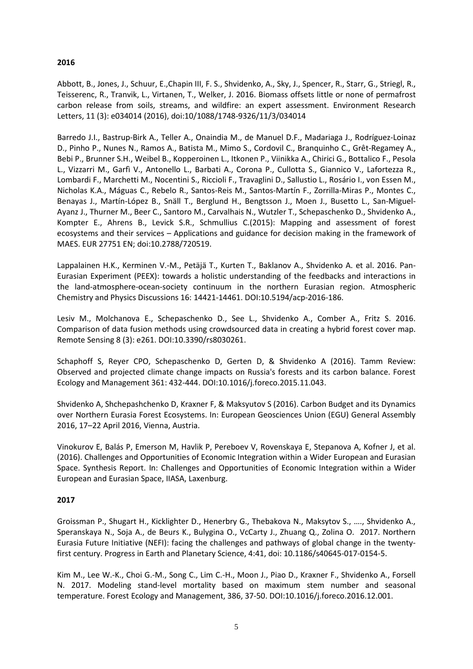## **2016**

Abbott, B., Jones, J., Schuur, E.,Chapin III, F. S., Shvidenko, A., Sky, J., Spencer, R., Starr, G., Striegl, R., Teisserenc, R., Tranvik, L., Virtanen, T., Welker, J. 2016. Biomass offsets little or none of permafrost carbon release from soils, streams, and wildfire: an expert assessment. Environment Research Letters, 11 (3): e034014 (2016), doi:10/1088/1748-9326/11/3/034014

Barredo J.I., Bastrup-Birk A., Teller A., Onaindia M., de Manuel D.F., Madariaga J., Rodríguez-Loinaz D., Pinho P., Nunes N., Ramos A., Batista M., Mimo S., Cordovil C., Branquinho C., Grêt-Regamey A., Bebi P., Brunner S.H., Weibel B., Kopperoinen L., Itkonen P., Viinikka A., Chirici G., Bottalico F., Pesola L., Vizzarri M., Garfì V., Antonello L., Barbati A., Corona P., Cullotta S., Giannico V., Lafortezza R., Lombardi F., Marchetti M., Nocentini S., Riccioli F., Travaglini D., Sallustio L., Rosário I., von Essen M., Nicholas K.A., Máguas C., Rebelo R., Santos-Reis M., Santos-Martín F., Zorrilla-Miras P., Montes C., Benayas J., Martín-López B., Snäll T., Berglund H., Bengtsson J., Moen J., Busetto L., San-Miguel-Ayanz J., Thurner M., Beer C., Santoro M., Carvalhais N., Wutzler T., Schepaschenko D., Shvidenko A., Kompter E., Ahrens B., Levick S.R., Schmullius C.(2015): Mapping and assessment of forest ecosystems and their services – Applications and guidance for decision making in the framework of MAES. EUR 27751 EN; doi:10.2788/720519.

Lappalainen H.K., Kerminen V.-M., Petäjä T., Kurten T., Baklanov A., Shvidenko A. et al. 2016. Pan-Eurasian Experiment (PEEX): towards a holistic understanding of the feedbacks and interactions in the land-atmosphere-ocean-society continuum in the northern Eurasian region. Atmospheric Chemistry and Physics Discussions 16: 14421-14461. DOI:10.5194/acp-2016-186.

Lesiv M., Molchanova E., Schepaschenko D., See L., Shvidenko A., Comber A., Fritz S. 2016. Comparison of data fusion methods using crowdsourced data in creating a hybrid forest cover map. Remote Sensing 8 (3): e261. DOI:10.3390/rs8030261.

Schaphoff S, Reyer CPO, Schepaschenko D, Gerten D, & Shvidenko A (2016). Tamm Review: Observed and projected climate change impacts on Russia's forests and its carbon balance. Forest Ecology and Management 361: 432-444. DOI:10.1016/j.foreco.2015.11.043.

Shvidenko A, Shchepashchenko D, Kraxner F, & Maksyutov S (2016). Carbon Budget and its Dynamics over Northern Eurasia Forest Ecosystems. In: European Geosciences Union (EGU) General Assembly 2016, 17–22 April 2016, Vienna, Austria.

Vinokurov E, Balás P, Emerson M, Havlik P, Pereboev V, Rovenskaya E, Stepanova A, Kofner J, et al. (2016). Challenges and Opportunities of Economic Integration within a Wider European and Eurasian Space. Synthesis Report. In: Challenges and Opportunities of Economic Integration within a Wider European and Eurasian Space, IIASA, Laxenburg.

#### **2017**

Groissman P., Shugart H., Kicklighter D., Henerbry G., Thebakova N., Maksytov S., …., Shvidenko A., Speranskaya N., Soja A., de Beurs K., Bulygina O., VcCarty J., Zhuang Q., Zolina O. 2017. Northern Eurasia Future Initiative (NEFI): facing the challenges and pathways of global change in the twentyfirst century. Progress in Earth and Planetary Science, 4:41, doi: 10.1186/s40645-017-0154-5.

Kim M., Lee W.-K., Choi G.-M., Song C., Lim C.-H., Moon J., Piao D., Kraxner F., Shvidenko A., Forsell N. 2017. Modeling stand-level mortality based on maximum stem number and seasonal temperature. Forest Ecology and Management, 386, 37-50. DOI:10.1016/j.foreco.2016.12.001.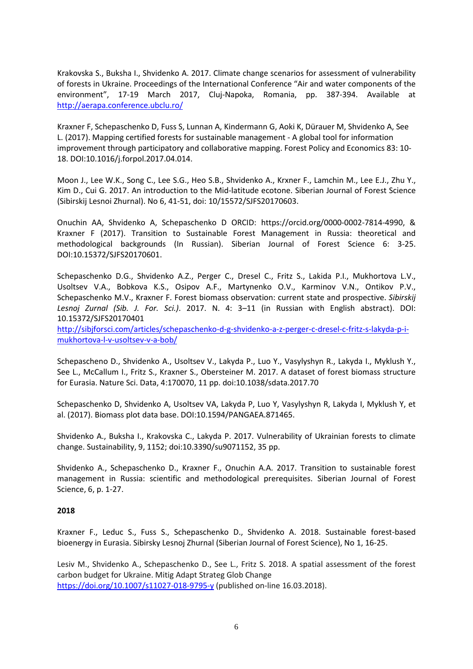Krakovska S., Buksha I., Shvidenko A. 2017. Climate change scenarios for assessment of vulnerability of forests in Ukraine. Proceedings of the International Conference "Air and water components of the environment", 17-19 March 2017, Cluj-Napoka, Romania, pp. 387-394. Available at <http://aerapa.conference.ubclu.ro/>

Kraxner F, Schepaschenko D, Fuss S, Lunnan A, Kindermann G, Aoki K, Dürauer M, Shvidenko A, See L. (2017). Mapping certified forests for sustainable management - A global tool for information improvement through participatory and collaborative mapping. Forest Policy and Economics 83: 10- 18. DOI:10.1016/j.forpol.2017.04.014.

Moon J., Lee W.K., Song C., Lee S.G., Heo S.B., Shvidenko A., Krxner F., Lamchin M., Lee E.J., Zhu Y., Kim D., Cui G. 2017. An introduction to the Mid-latitude ecotone. Siberian Journal of Forest Science (Sibirskij Lesnoi Zhurnal). No 6, 41-51, doi: 10/15572/SJFS20170603.

Onuchin AA, Shvidenko A, Schepaschenko D ORCID: https://orcid.org/0000-0002-7814-4990, & Kraxner F (2017). Transition to Sustainable Forest Management in Russia: theoretical and methodological backgrounds (In Russian). Siberian Journal of Forest Science 6: 3-25. DOI:10.15372/SJFS20170601.

Schepaschenko D.G., Shvidenko A.Z., Perger C., Dresel C., Fritz S., Lakida P.I., Mukhortova L.V., Usoltsev V.A., Bobkova K.S., Osipov A.F., Martynenko O.V., Karminov V.N., Ontikov P.V., Schepaschenko M.V., Kraxner F. Forest biomass observation: current state and prospective. *Sibirskij Lesnoj Zurnal (Sib. J. For. Sci.)*. 2017. N. 4: 3–11 (in Russian with English abstract). DOI: 10.15372/SJFS20170401

[http://sibjforsci.com/articles/schepaschenko-d-g-shvidenko-a-z-perger-c-dresel-c-fritz-s-lakyda-p-i](http://sibjforsci.com/articles/schepaschenko-d-g-shvidenko-a-z-perger-c-dresel-c-fritz-s-lakyda-p-i-mukhortova-l-v-usoltsev-v-a-bob/)[mukhortova-l-v-usoltsev-v-a-bob/](http://sibjforsci.com/articles/schepaschenko-d-g-shvidenko-a-z-perger-c-dresel-c-fritz-s-lakyda-p-i-mukhortova-l-v-usoltsev-v-a-bob/)

Schepascheno D., Shvidenko A., Usoltsev V., Lakyda P., Luo Y., Vasylyshyn R., Lakyda I., Myklush Y., See L., McCallum I., Fritz S., Kraxner S., Obersteiner M. 2017. A dataset of forest biomass structure for Eurasia. Nature Sci. Data, 4:170070, 11 pp. doi:10.1038/sdata.2017.70

Schepaschenko D, Shvidenko A, Usoltsev VA, Lakyda P, Luo Y, Vasylyshyn R, Lakyda I, Myklush Y, et al. (2017). Biomass plot data base. DOI:10.1594/PANGAEA.871465.

Shvidenko A., Buksha I., Krakovska C., Lakyda P. 2017. Vulnerability of Ukrainian forests to climate change. Sustainability, 9, 1152; doi:10.3390/su9071152, 35 pp.

Shvidenko A., Schepaschenko D., Kraxner F., Onuchin A.A. 2017. Transition to sustainable forest management in Russia: scientific and methodological prerequisites. Siberian Journal of Forest Science, 6, p. 1-27.

#### **2018**

Kraxner F., Leduc S., Fuss S., Schepaschenko D., Shvidenko A. 2018. Sustainable forest-based bioenergy in Eurasia. Sibirsky Lesnoj Zhurnal (Siberian Journal of Forest Science), No 1, 16-25.

Lesiv M., Shvidenko A., Schepaschenko D., See L., Fritz S. 2018. A spatial assessment of the forest carbon budget for Ukraine. Mitig Adapt Strateg Glob Change <https://doi.org/10.1007/s11027-018-9795-y> (published on-line 16.03.2018).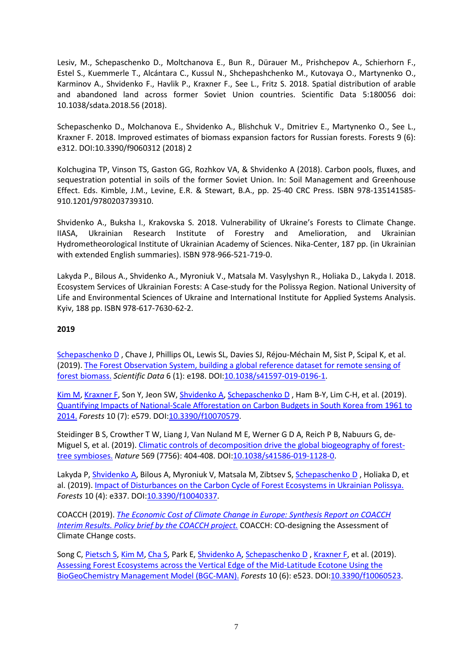Lesiv, M., Schepaschenko D., Moltchanova E., Bun R., Dürauer M., Prishchepov A., Schierhorn F., Estel S., Kuemmerle T., Alcántara C., Kussul N., Shchepashchenko M., Kutovaya O., Martynenko O., Karminov A., Shvidenko F., Havlik P., Kraxner F., See L., Fritz S. 2018. Spatial distribution of arable and abandoned land across former Soviet Union countries. Scientific Data 5:180056 doi: 10.1038/sdata.2018.56 (2018).

Schepaschenko D., Molchanova E., Shvidenko A., Blishchuk V., Dmitriev E., Martynenko O., See L., Kraxner F. 2018. Improved estimates of biomass expansion factors for Russian forests. Forests 9 (6): e312. DOI:10.3390/f9060312 (2018) 2

Kolchugina TP, Vinson TS, Gaston GG, Rozhkov VA, & Shvidenko A (2018). Carbon pools, fluxes, and sequestration potential in soils of the former Soviet Union. In: Soil Management and Greenhouse Effect. Eds. Kimble, J.M., Levine, E.R. & Stewart, B.A., pp. 25-40 CRC Press. ISBN 978-135141585- 910.1201/9780203739310.

Shvidenko A., Buksha I., Krakovska S. 2018. Vulnerability of Ukraine's Forests to Climate Change. IIASA, Ukrainian Research Institute of Forestry and Amelioration, and Ukrainian Hydrometheorological Institute of Ukrainian Academy of Sciences. Nika-Center, 187 pp. (in Ukrainian with extended English summaries). ISBN 978-966-521-719-0.

Lakyda P., Bilous A., Shvidenko A., Myroniuk V., Matsala M. Vasylyshyn R., Holiaka D., Lakyda I. 2018. Ecosystem Services of Ukrainian Forests: A Case-study for the Polissya Region. National University of Life and Environmental Sciences of Ukraine and International Institute for Applied Systems Analysis. Kyiv, 188 pp. ISBN 978-617-7630-62-2.

## **2019**

[Schepaschenko D](http://pure.iiasa.ac.at/view/iiasa/279.html) , Chave J, Phillips OL, Lewis SL, Davies SJ, Réjou-Méchain M, Sist P, Scipal K, et al. (2019). [The Forest Observation System, building a global reference dataset for remote sensing of](http://pure.iiasa.ac.at/id/eprint/16100/)  [forest biomass.](http://pure.iiasa.ac.at/id/eprint/16100/) *Scientific Data* 6 (1): e198. DOI[:10.1038/s41597-019-0196-1.](https://doi.org/10.1038/s41597-019-0196-1)

[Kim M,](http://pure.iiasa.ac.at/view/iiasa/156.html) [Kraxner F,](http://pure.iiasa.ac.at/view/iiasa/165.html) Son Y, Jeon SW, [Shvidenko A,](http://pure.iiasa.ac.at/view/iiasa/281.html) [Schepaschenko D](http://pure.iiasa.ac.at/view/iiasa/279.html) , Ham B-Y, Lim C-H, et al. (2019). [Quantifying Impacts of National-Scale Afforestation on Carbon Budgets in South Korea from 1961 to](http://pure.iiasa.ac.at/id/eprint/16138/)  [2014.](http://pure.iiasa.ac.at/id/eprint/16138/) *Forests* 10 (7): e579. DOI[:10.3390/f10070579.](https://doi.org/10.3390/f10070579)

Steidinger B S, Crowther T W, Liang J, Van Nuland M E, Werner G D A, Reich P B, Nabuurs G, de-Miguel S, et al. (2019). [Climatic controls of decomposition drive the global biogeography of forest](http://pure.iiasa.ac.at/id/eprint/15912/)[tree symbioses.](http://pure.iiasa.ac.at/id/eprint/15912/) *Nature* 569 (7756): 404-408. DOI[:10.1038/s41586-019-1128-0.](https://doi.org/10.1038/s41586-019-1128-0)

Lakyda P, [Shvidenko A,](http://pure.iiasa.ac.at/view/iiasa/281.html) Bilous A, Myroniuk V, Matsala M, Zibtsev S, [Schepaschenko D](http://pure.iiasa.ac.at/view/iiasa/279.html) , Holiaka D, et al. (2019). [Impact of Disturbances on the Carbon Cycle of Forest Ecosystems in Ukrainian Polissya.](http://pure.iiasa.ac.at/id/eprint/15853/) *Forests* 10 (4): e337. DOI[:10.3390/f10040337.](https://doi.org/10.3390/f10040337)

COACCH (2019). *[The Economic Cost of Climate Change in Europe: Synthesis Report on COACCH](http://pure.iiasa.ac.at/id/eprint/16357/)  [Interim Results. Policy brief by the COACCH project.](http://pure.iiasa.ac.at/id/eprint/16357/)* COACCH: CO-designing the Assessment of Climate CHange costs.

Song C, [Pietsch S,](http://pure.iiasa.ac.at/view/iiasa/232.html) [Kim M,](http://pure.iiasa.ac.at/view/iiasa/156.html) [Cha S,](http://pure.iiasa.ac.at/view/iiasa/2995.html) Park E, [Shvidenko A,](http://pure.iiasa.ac.at/view/iiasa/281.html) [Schepaschenko D](http://pure.iiasa.ac.at/view/iiasa/279.html) , [Kraxner F,](http://pure.iiasa.ac.at/view/iiasa/165.html) et al. (2019). [Assessing Forest Ecosystems across the Vertical Edge of the Mid-Latitude Ecotone Using the](http://pure.iiasa.ac.at/id/eprint/15967/)  [BioGeoChemistry Management Model \(BGC-MAN\).](http://pure.iiasa.ac.at/id/eprint/15967/) *Forests* 10 (6): e523. DOI[:10.3390/f10060523.](https://doi.org/10.3390/f10060523)